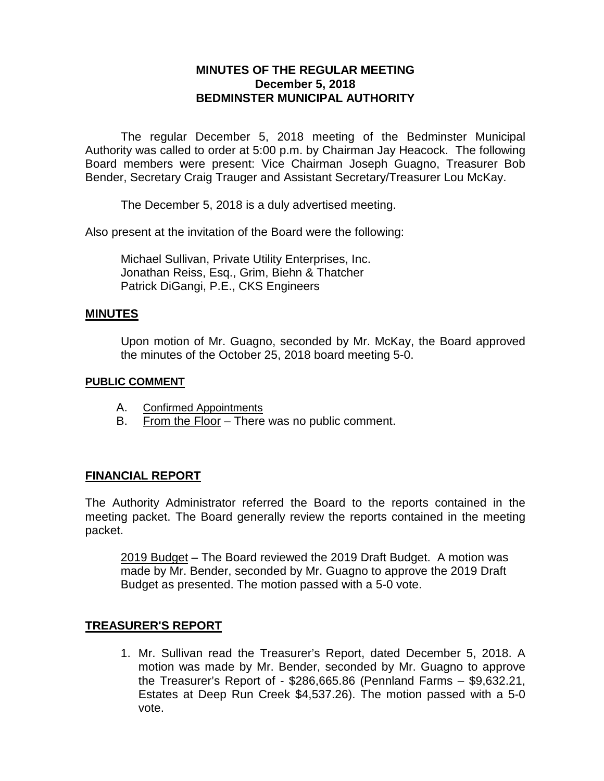# **MINUTES OF THE REGULAR MEETING December 5, 2018 BEDMINSTER MUNICIPAL AUTHORITY**

The regular December 5, 2018 meeting of the Bedminster Municipal Authority was called to order at 5:00 p.m. by Chairman Jay Heacock. The following Board members were present: Vice Chairman Joseph Guagno, Treasurer Bob Bender, Secretary Craig Trauger and Assistant Secretary/Treasurer Lou McKay.

The December 5, 2018 is a duly advertised meeting.

Also present at the invitation of the Board were the following:

Michael Sullivan, Private Utility Enterprises, Inc. Jonathan Reiss, Esq., Grim, Biehn & Thatcher Patrick DiGangi, P.E., CKS Engineers

### **MINUTES**

Upon motion of Mr. Guagno, seconded by Mr. McKay, the Board approved the minutes of the October 25, 2018 board meeting 5-0.

#### **PUBLIC COMMENT**

- A. Confirmed Appointments
- B. From the Floor There was no public comment.

## **FINANCIAL REPORT**

The Authority Administrator referred the Board to the reports contained in the meeting packet. The Board generally review the reports contained in the meeting packet.

2019 Budget – The Board reviewed the 2019 Draft Budget. A motion was made by Mr. Bender, seconded by Mr. Guagno to approve the 2019 Draft Budget as presented. The motion passed with a 5-0 vote.

## **TREASURER'S REPORT**

1. Mr. Sullivan read the Treasurer's Report, dated December 5, 2018. A motion was made by Mr. Bender, seconded by Mr. Guagno to approve the Treasurer's Report of - \$286,665.86 (Pennland Farms – \$9,632.21, Estates at Deep Run Creek \$4,537.26). The motion passed with a 5-0 vote.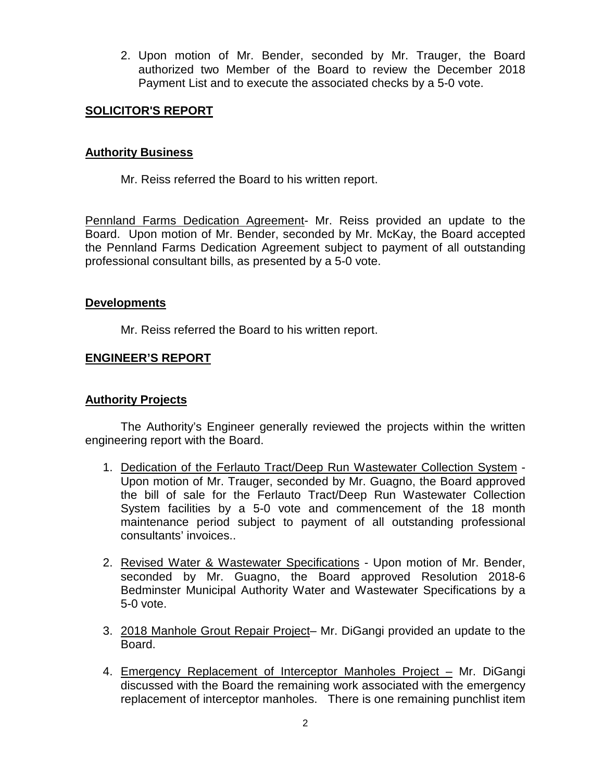2. Upon motion of Mr. Bender, seconded by Mr. Trauger, the Board authorized two Member of the Board to review the December 2018 Payment List and to execute the associated checks by a 5-0 vote.

### **SOLICITOR'S REPORT**

#### **Authority Business**

Mr. Reiss referred the Board to his written report.

Pennland Farms Dedication Agreement- Mr. Reiss provided an update to the Board. Upon motion of Mr. Bender, seconded by Mr. McKay, the Board accepted the Pennland Farms Dedication Agreement subject to payment of all outstanding professional consultant bills, as presented by a 5-0 vote.

### **Developments**

Mr. Reiss referred the Board to his written report.

### **ENGINEER'S REPORT**

#### **Authority Projects**

The Authority's Engineer generally reviewed the projects within the written engineering report with the Board.

- 1. Dedication of the Ferlauto Tract/Deep Run Wastewater Collection System Upon motion of Mr. Trauger, seconded by Mr. Guagno, the Board approved the bill of sale for the Ferlauto Tract/Deep Run Wastewater Collection System facilities by a 5-0 vote and commencement of the 18 month maintenance period subject to payment of all outstanding professional consultants' invoices..
- 2. Revised Water & Wastewater Specifications Upon motion of Mr. Bender, seconded by Mr. Guagno, the Board approved Resolution 2018-6 Bedminster Municipal Authority Water and Wastewater Specifications by a 5-0 vote.
- 3. 2018 Manhole Grout Repair Project– Mr. DiGangi provided an update to the Board.
- 4. Emergency Replacement of Interceptor Manholes Project Mr. DiGangi discussed with the Board the remaining work associated with the emergency replacement of interceptor manholes. There is one remaining punchlist item